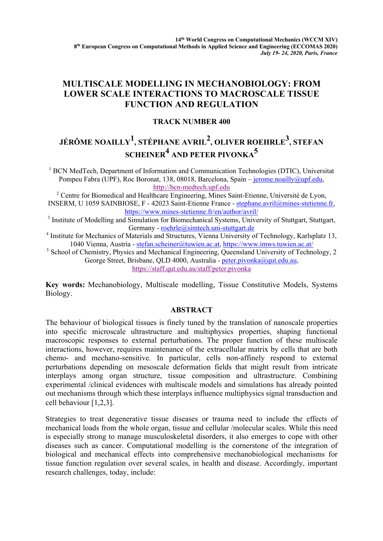## **MULTISCALE MODELLING IN MECHANOBIOLOGY: FROM LOWER SCALE INTERACTIONS TO MACROSCALE TISSUE FUNCTION AND REGULATION**

### **TRACK NUMBER 400**

# JÉRÔME NOAILLY<sup>1</sup>, STÉPHANE AVRIL<sup>2</sup>, OLIVER ROEHRLE<sup>3</sup>, STEFAN **SCHEINER<sup>4</sup> AND PETER PIVONKA<sup>5</sup>**

<sup>1</sup> BCN MedTech, Department of Information and Communication Technologies (DTIC), Universitat Pompeu Fabra (UPF), Roc Boronat, 138, 08018, Barcelona, Spain – jerome.noailly@upf.edu, http://bcn-medtech.upf.edu <sup>2</sup> Centre for Biomedical and Healthcare Engineering, Mines Saint-Etienne, Université de Lyon, INSERM, U 1059 SAINBIOSE, F - 42023 Saint-Etienne France - stephane.avril@mines-stetienne.fr,

https://www.mines-stetienne.fr/en/author/avril/

<sup>3</sup> Institute of Modelling and Simulation for Biomechanical Systems, University of Stuttgart, Stuttgart, Germany - roehrle@simtech.uni-stuttgart.de

<sup>4</sup> Institute for Mechanics of Materials and Structures, Vienna University of Technology, Karlsplatz 13, 1040 Vienna, Austria - stefan.scheiner@tuwien.ac.at, https://www.imws.tuwien.ac.at/

<sup>5</sup> School of Chemistry, Physics and Mechanical Engineering, Queensland University of Technology, 2 George Street, Brisbane, QLD 4000, Australia - peter.pivonka@qut.edu.au,

https://staff.qut.edu.au/staff/peter.pivonka

**Key words:** Mechanobiology, Multiscale modelling, Tissue Constitutive Models, Systems Biology.

### **ABSTRACT**

The behaviour of biological tissues is finely tuned by the translation of nanoscale properties into specific microscale ultrastructure and multiphysics properties, shaping functional macroscopic responses to external perturbations. The proper function of these multiscale interactions, however, requires maintenance of the extracellular matrix by cells that are both chemo- and mechano-sensitive. In particular, cells non-affinely respond to external perturbations depending on mesoscale deformation fields that might result from intricate interplays among organ structure, tissue composition and ultrastructure. Combining experimental /clinical evidences with multiscale models and simulations has already pointed out mechanisms through which these interplays influence multiphysics signal transduction and cell behaviour [1,2,3].

Strategies to treat degenerative tissue diseases or trauma need to include the effects of mechanical loads from the whole organ, tissue and cellular /molecular scales. While this need is especially strong to manage musculoskeletal disorders, it also emerges to cope with other diseases such as cancer. Computational modelling is the cornerstone of the integration of biological and mechanical effects into comprehensive mechanobiological mechanisms for tissue function regulation over several scales, in health and disease. Accordingly, important research challenges, today, include: